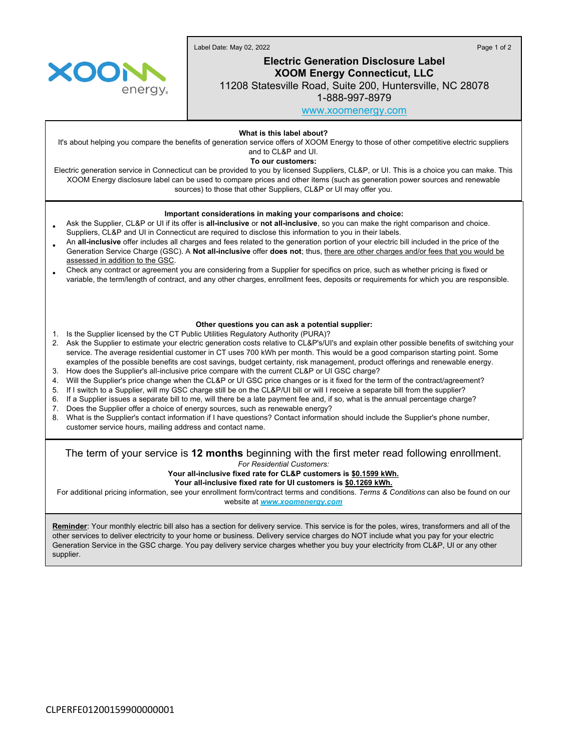Label Date: May 02, 2022 Page 1 of 2



# **Electric Generation Disclosure Label XOOM Energy Connecticut, LLC**

11208 Statesville Road, Suite 200, Huntersville, NC 28078

1-888-997-8979

[www.xoomenergy.com](http://www.xoomenergy.com)

**What is this label about?**

It's about helping you compare the benefits of generation service offers of XOOM Energy to those of other competitive electric suppliers and to CL&P and UI.

**To our customers:**

Electric generation service in Connecticut can be provided to you by licensed Suppliers, CL&P, or UI. This is a choice you can make. This XOOM Energy disclosure label can be used to compare prices and other items (such as generation power sources and renewable sources) to those that other Suppliers, CL&P or UI may offer you.

### **Important considerations in making your comparisons and choice:**

- Ask the Supplier, CL&P or UI if its offer is **all-inclusive** or **not all-inclusive**, so you can make the right comparison and choice. Suppliers, CL&P and UI in Connecticut are required to disclose this information to you in their labels.
- An **all-inclusive** offer includes all charges and fees related to the generation portion of your electric bill included in the price of the Generation Service Charge (GSC). A **Not all-inclusive** offer **does not**; thus, there are other charges and/or fees that you would be assessed in addition to the GSC.
- Check any contract or agreement you are considering from a Supplier for specifics on price, such as whether pricing is fixed or variable, the term/length of contract, and any other charges, enrollment fees, deposits or requirements for which you are responsible.

#### **Other questions you can ask a potential supplier:**

- 1. Is the Supplier licensed by the CT Public Utilities Regulatory Authority (PURA)?
- 2. Ask the Supplier to estimate your electric generation costs relative to CL&P's/UI's and explain other possible benefits of switching your service. The average residential customer in CT uses 700 kWh per month. This would be a good comparison starting point. Some examples of the possible benefits are cost savings, budget certainty, risk management, product offerings and renewable energy.
- 3. How does the Supplier's all-inclusive price compare with the current CL&P or UI GSC charge?
- 4. Will the Supplier's price change when the CL&P or UI GSC price changes or is it fixed for the term of the contract/agreement?
- 5. If I switch to a Supplier, will my GSC charge still be on the CL&P/UI bill or will I receive a separate bill from the supplier?
- 6. If a Supplier issues a separate bill to me, will there be a late payment fee and, if so, what is the annual percentage charge?
- 7. Does the Supplier offer a choice of energy sources, such as renewable energy?
- 8. What is the Supplier's contact information if I have questions? Contact information should include the Supplier's phone number, customer service hours, mailing address and contact name.

## The term of your service is **12 months** beginning with the first meter read following enrollment.

*For Residential Customers:*

**Your all-inclusive fixed rate for CL&P customers is \$0.1599 kWh.**

**Your all-inclusive fixed rate for UI customers is \$0.1269 kWh.**

For additional pricing information, see your enrollment form/contract terms and conditions. *Terms & Conditions* can also be found on our website at *[www.xoomenergy.com](http://www.xoomenergy.com/)*

**Reminder**: Your monthly electric bill also has a section for delivery service. This service is for the poles, wires, transformers and all of the other services to deliver electricity to your home or business. Delivery service charges do NOT include what you pay for your electric Generation Service in the GSC charge. You pay delivery service charges whether you buy your electricity from CL&P, UI or any other supplier.